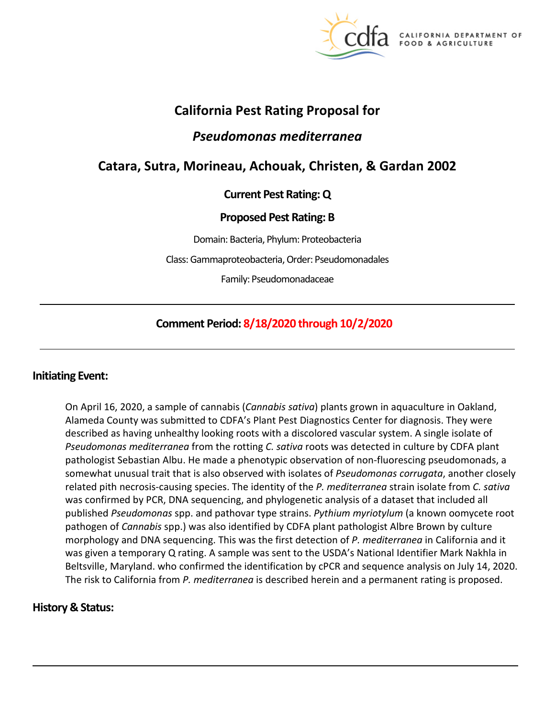

A DEPARTMENT OF FOOD & AGRICULTURE

## **California Pest Rating Proposal for**

# *Pseudomonas mediterranea*

# **Catara, Sutra, Morineau, Achouak, Christen, & Gardan 2002**

## **Current Pest Rating: Q**

## **Proposed Pest Rating: B**

Domain: Bacteria, Phylum: Proteobacteria

Class: Gammaproteobacteria, Order: Pseudomonadales

Family: Pseudomonadaceae

## **Comment Period: 8/18/2020 through 10/2/2020**

## **Initiating Event:**

On April 16, 2020, a sample of cannabis (*Cannabis sativa*) plants grown in aquaculture in Oakland, Alameda County was submitted to CDFA's Plant Pest Diagnostics Center for diagnosis. They were described as having unhealthy looking roots with a discolored vascular system. A single isolate of *Pseudomonas mediterranea* from the rotting *C. sativa* roots was detected in culture by CDFA plant pathologist Sebastian Albu. He made a phenotypic observation of non-fluorescing pseudomonads, a somewhat unusual trait that is also observed with isolates of *Pseudomonas corrugata*, another closely related pith necrosis-causing species. The identity of the *P. mediterranea* strain isolate from *C. sativa*  was confirmed by PCR, DNA sequencing, and phylogenetic analysis of a dataset that included all published *Pseudomonas* spp. and pathovar type strains. *Pythium myriotylum* (a known oomycete root pathogen of *Cannabis* spp.) was also identified by CDFA plant pathologist Albre Brown by culture morphology and DNA sequencing. This was the first detection of *P. mediterranea* in California and it was given a temporary Q rating. A sample was sent to the USDA's National Identifier Mark Nakhla in Beltsville, Maryland. who confirmed the identification by cPCR and sequence analysis on July 14, 2020. The risk to California from *P. mediterranea* is described herein and a permanent rating is proposed.

## **History & Status:**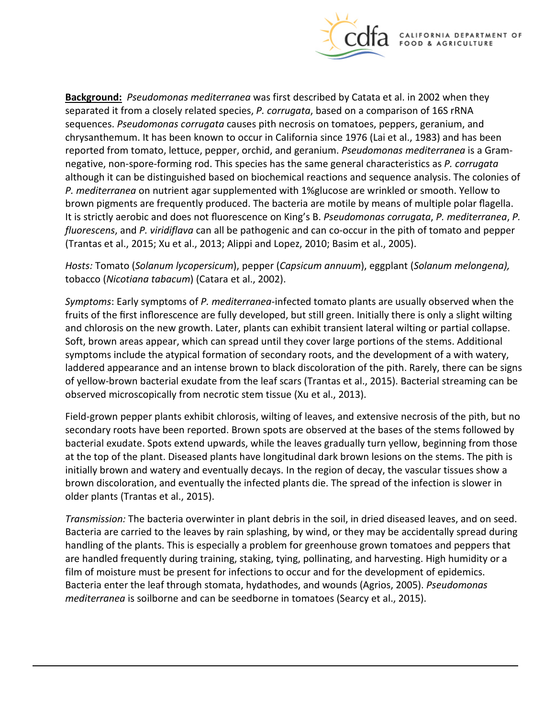

 brown pigments are frequently produced. The bacteria are motile by means of multiple polar flagella. It is strictly aerobic and does not fluorescence on King's B. *Pseudomonas corrugata*, *P. mediterranea*, *P.*  **Background:** *Pseudomonas mediterranea* was first described by Catata et al. in 2002 when they separated it from a closely related species, *P. corrugata*, based on a comparison of 16S rRNA sequences. *Pseudomonas corrugata* causes pith necrosis on tomatoes, peppers, geranium, and chrysanthemum. It has been known to occur in California since 1976 (Lai et al., 1983) and has been reported from tomato, lettuce, pepper, orchid, and geranium. *Pseudomonas mediterranea* is a Gramnegative, non-spore-forming rod. This species has the same general characteristics as *P. corrugata*  although it can be distinguished based on biochemical reactions and sequence analysis. The colonies of *P. mediterranea* on nutrient agar supplemented with 1%glucose are wrinkled or smooth. Yellow to *fluorescens*, and *P. viridiflava* can all be pathogenic and can co-occur in the pith of tomato and pepper (Trantas et al., 2015; Xu et al., 2013; Alippi and Lopez, 2010; Basim et al., 2005).

*Hosts:* Tomato (*Solanum lycopersicum*), pepper (*Capsicum annuum*), eggplant (*Solanum melongena),*  tobacco (*Nicotiana tabacum*) (Catara et al., 2002).

 fruits of the first inflorescence are fully developed, but still green. Initially there is only a slight wilting *Symptoms*: Early symptoms of *P. mediterranea*-infected tomato plants are usually observed when the and chlorosis on the new growth. Later, plants can exhibit transient lateral wilting or partial collapse. Soft, brown areas appear, which can spread until they cover large portions of the stems. Additional symptoms include the atypical formation of secondary roots, and the development of a with watery, laddered appearance and an intense brown to black discoloration of the pith. Rarely, there can be signs of yellow-brown bacterial exudate from the leaf scars (Trantas et al., 2015). Bacterial streaming can be observed microscopically from necrotic stem tissue (Xu et al., 2013).

Field-grown pepper plants exhibit chlorosis, wilting of leaves, and extensive necrosis of the pith, but no secondary roots have been reported. Brown spots are observed at the bases of the stems followed by bacterial exudate. Spots extend upwards, while the leaves gradually turn yellow, beginning from those at the top of the plant. Diseased plants have longitudinal dark brown lesions on the stems. The pith is initially brown and watery and eventually decays. In the region of decay, the vascular tissues show a brown discoloration, and eventually the infected plants die. The spread of the infection is slower in older plants (Trantas et al., 2015).

*Transmission:* The bacteria overwinter in plant debris in the soil, in dried diseased leaves, and on seed. Bacteria are carried to the leaves by rain splashing, by wind, or they may be accidentally spread during handling of the plants. This is especially a problem for greenhouse grown tomatoes and peppers that are handled frequently during training, staking, tying, pollinating, and harvesting. High humidity or a film of moisture must be present for infections to occur and for the development of epidemics. Bacteria enter the leaf through stomata, hydathodes, and wounds (Agrios, 2005). *Pseudomonas mediterranea* is soilborne and can be seedborne in tomatoes (Searcy et al., 2015).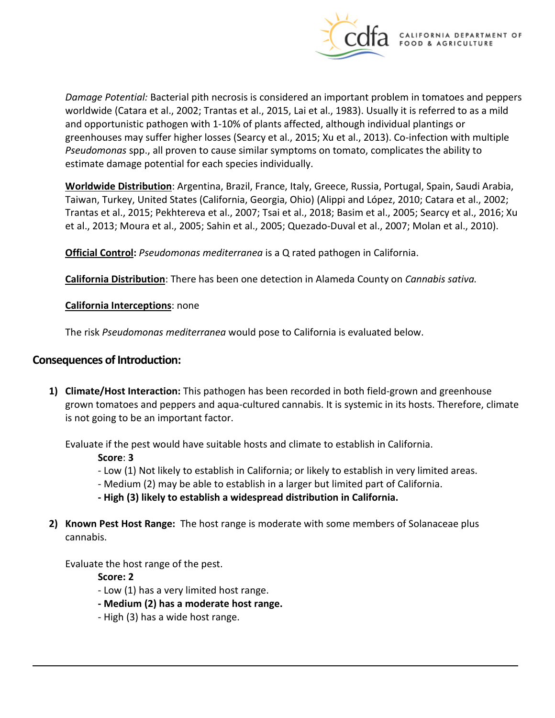

*Damage Potential:* Bacterial pith necrosis is considered an important problem in tomatoes and peppers worldwide (Catara et al., 2002; Trantas et al., 2015, Lai et al., 1983). Usually it is referred to as a mild and opportunistic pathogen with 1-10% of plants affected, although individual plantings or greenhouses may suffer higher losses (Searcy et al., 2015; Xu et al., 2013). Co-infection with multiple *Pseudomonas* spp., all proven to cause similar symptoms on tomato, complicates the ability to estimate damage potential for each species individually.

**Worldwide Distribution**: Argentina, Brazil, France, Italy, Greece, Russia, Portugal, Spain, Saudi Arabia, Taiwan, Turkey, United States (California, Georgia, Ohio) (Alippi and López, 2010; Catara et al., 2002; Trantas et al., 2015; Pekhtereva et al., 2007; Tsai et al., 2018; Basim et al., 2005; Searcy et al., 2016; Xu et al., 2013; Moura et al., 2005; Sahin et al., 2005; Quezado-Duval et al., 2007; Molan et al., 2010).

**Official Control:** *Pseudomonas mediterranea* is a Q rated pathogen in California.

**California Distribution**: There has been one detection in Alameda County on *Cannabis sativa.* 

**California Interceptions**: none

The risk *Pseudomonas mediterranea* would pose to California is evaluated below.

### **Consequences of Introduction:**

**1) Climate/Host Interaction:** This pathogen has been recorded in both field-grown and greenhouse grown tomatoes and peppers and aqua-cultured cannabis. It is systemic in its hosts. Therefore, climate is not going to be an important factor.

Evaluate if the pest would have suitable hosts and climate to establish in California.

**Score**: **3** 

- Low (1) Not likely to establish in California; or likely to establish in very limited areas.
- Medium (2) may be able to establish in a larger but limited part of California.
- **- High (3) likely to establish a widespread distribution in California.**
- **2) Known Pest Host Range:** The host range is moderate with some members of Solanaceae plus cannabis.

Evaluate the host range of the pest.

**Score: 2** 

- Low (1) has a very limited host range.
- **- Medium (2) has a moderate host range.**
- High (3) has a wide host range.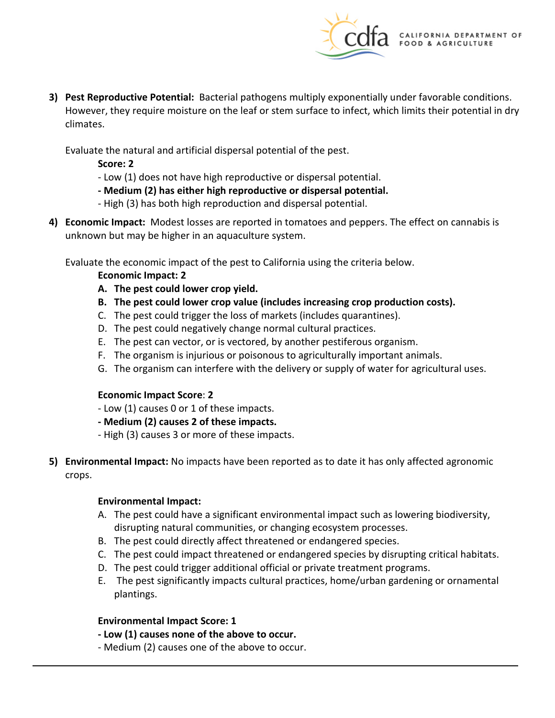

**3) Pest Reproductive Potential:** Bacterial pathogens multiply exponentially under favorable conditions. However, they require moisture on the leaf or stem surface to infect, which limits their potential in dry climates.

Evaluate the natural and artificial dispersal potential of the pest.

- **Score: 2**
- Low (1) does not have high reproductive or dispersal potential.
- **- Medium (2) has either high reproductive or dispersal potential.**
- High (3) has both high reproduction and dispersal potential.
- **4) Economic Impact:** Modest losses are reported in tomatoes and peppers. The effect on cannabis is unknown but may be higher in an aquaculture system.

Evaluate the economic impact of the pest to California using the criteria below.

**Economic Impact: 2** 

- **A. The pest could lower crop yield.**
- **B. The pest could lower crop value (includes increasing crop production costs).**
- C. The pest could trigger the loss of markets (includes quarantines).
- D. The pest could negatively change normal cultural practices.
- E. The pest can vector, or is vectored, by another pestiferous organism.
- F. The organism is injurious or poisonous to agriculturally important animals.
- G. The organism can interfere with the delivery or supply of water for agricultural uses.

#### **Economic Impact Score**: **2**

- Low (1) causes 0 or 1 of these impacts.
- **- Medium (2) causes 2 of these impacts.**
- High (3) causes 3 or more of these impacts.
- **5) Environmental Impact:** No impacts have been reported as to date it has only affected agronomic crops.

#### **Environmental Impact:**

- A. The pest could have a significant environmental impact such as lowering biodiversity, disrupting natural communities, or changing ecosystem processes.
- B. The pest could directly affect threatened or endangered species.
- C. The pest could impact threatened or endangered species by disrupting critical habitats.
- D. The pest could trigger additional official or private treatment programs.
- E. The pest significantly impacts cultural practices, home/urban gardening or ornamental plantings.

#### **Environmental Impact Score: 1**

- **- Low (1) causes none of the above to occur.**
- Medium (2) causes one of the above to occur.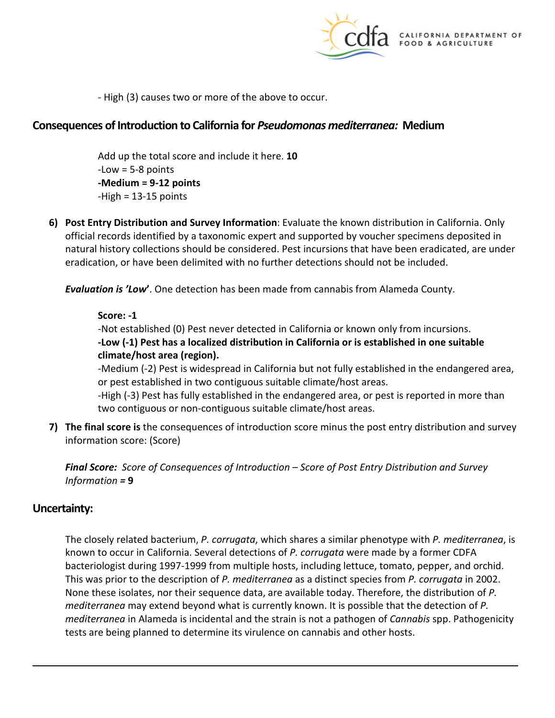

- High (3) causes two or more of the above to occur.

## **Consequences of Introduction to California for** *Pseudomonas mediterranea:* **Medium**

Add up the total score and include it here. **10**   $-Low = 5-8$  points **-Medium = 9-12 points**   $-High = 13-15$  points

**6) Post Entry Distribution and Survey Information**: Evaluate the known distribution in California. Only official records identified by a taxonomic expert and supported by voucher specimens deposited in natural history collections should be considered. Pest incursions that have been eradicated, are under eradication, or have been delimited with no further detections should not be included.

*Evaluation is 'Low***'**. One detection has been made from cannabis from Alameda County.

#### **Score: -1**

-Not established (0) Pest never detected in California or known only from incursions. **-Low (-1) Pest has a localized distribution in California or is established in one suitable climate/host area (region).** 

-Medium (-2) Pest is widespread in California but not fully established in the endangered area, or pest established in two contiguous suitable climate/host areas.

-High (-3) Pest has fully established in the endangered area, or pest is reported in more than two contiguous or non-contiguous suitable climate/host areas.

**7) The final score is** the consequences of introduction score minus the post entry distribution and survey information score: (Score)

*Final Score: Score of Consequences of Introduction – Score of Post Entry Distribution and Survey Information =* **9** 

### **Uncertainty:**

The closely related bacterium, *P. corrugata*, which shares a similar phenotype with *P. mediterranea*, is known to occur in California. Several detections of *P. corrugata* were made by a former CDFA bacteriologist during 1997-1999 from multiple hosts, including lettuce, tomato, pepper, and orchid. This was prior to the description of *P. mediterranea* as a distinct species from *P. corrugata* in 2002. None these isolates, nor their sequence data, are available today. Therefore, the distribution of *P. mediterranea* may extend beyond what is currently known. It is possible that the detection of *P. mediterranea* in Alameda is incidental and the strain is not a pathogen of *Cannabis* spp. Pathogenicity tests are being planned to determine its virulence on cannabis and other hosts.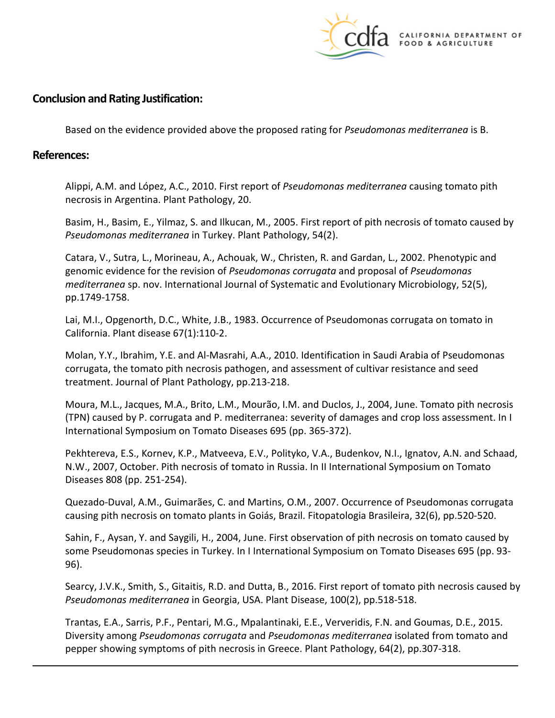

## **Conclusion and Rating Justification:**

Based on the evidence provided above the proposed rating for *Pseudomonas mediterranea* is B.

### **References:**

Alippi, A.M. and López, A.C., 2010. First report of *Pseudomonas mediterranea* causing tomato pith necrosis in Argentina. Plant Pathology, 20.

Basim, H., Basim, E., Yilmaz, S. and Ilkucan, M., 2005. First report of pith necrosis of tomato caused by *Pseudomonas mediterranea* in Turkey. Plant Pathology, 54(2).

Catara, V., Sutra, L., Morineau, A., Achouak, W., Christen, R. and Gardan, L., 2002. Phenotypic and genomic evidence for the revision of *Pseudomonas corrugata* and proposal of *Pseudomonas mediterranea* sp. nov. International Journal of Systematic and Evolutionary Microbiology, 52(5), pp.1749-1758.

Lai, M.I., Opgenorth, D.C., White, J.B., 1983. Occurrence of Pseudomonas corrugata on tomato in California. Plant disease 67(1):110-2.

Molan, Y.Y., Ibrahim, Y.E. and Al-Masrahi, A.A., 2010. Identification in Saudi Arabia of Pseudomonas corrugata, the tomato pith necrosis pathogen, and assessment of cultivar resistance and seed treatment. Journal of Plant Pathology, pp.213-218.

Moura, M.L., Jacques, M.A., Brito, L.M., Mourão, I.M. and Duclos, J., 2004, June. Tomato pith necrosis (TPN) caused by P. corrugata and P. mediterranea: severity of damages and crop loss assessment. In I International Symposium on Tomato Diseases 695 (pp. 365-372).

 Pekhtereva, E.S., Kornev, K.P., Matveeva, E.V., Polityko, V.A., Budenkov, N.I., Ignatov, A.N. and Schaad, N.W., 2007, October. Pith necrosis of tomato in Russia. In II International Symposium on Tomato Diseases 808 (pp. 251-254).

Quezado-Duval, A.M., Guimarães, C. and Martins, O.M., 2007. Occurrence of Pseudomonas corrugata causing pith necrosis on tomato plants in Goiás, Brazil. Fitopatologia Brasileira, 32(6), pp.520-520.

Sahin, F., Aysan, Y. and Saygili, H., 2004, June. First observation of pith necrosis on tomato caused by some Pseudomonas species in Turkey. In I International Symposium on Tomato Diseases 695 (pp. 93- 96).

 Searcy, J.V.K., Smith, S., Gitaitis, R.D. and Dutta, B., 2016. First report of tomato pith necrosis caused by *Pseudomonas mediterranea* in Georgia, USA. Plant Disease, 100(2), pp.518-518.

Trantas, E.A., Sarris, P.F., Pentari, M.G., Mpalantinaki, E.E., Ververidis, F.N. and Goumas, D.E., 2015. Diversity among *Pseudomonas corrugata* and *Pseudomonas mediterranea* isolated from tomato and pepper showing symptoms of pith necrosis in Greece. Plant Pathology, 64(2), pp.307-318.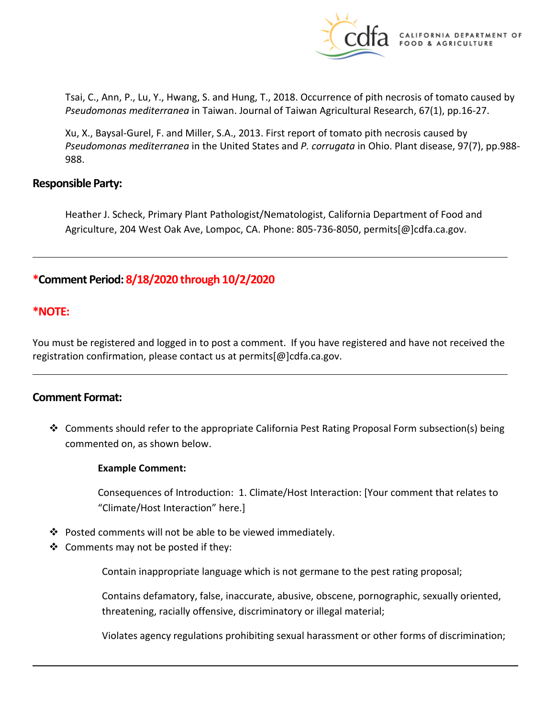

Tsai, C., Ann, P., Lu, Y., Hwang, S. and Hung, T., 2018. Occurrence of pith necrosis of tomato caused by *Pseudomonas mediterranea* in Taiwan. Journal of Taiwan Agricultural Research, 67(1), pp.16-27.

Xu, X., Baysal-Gurel, F. and Miller, S.A., 2013. First report of tomato pith necrosis caused by *Pseudomonas mediterranea* in the United States and *P. corrugata* in Ohio. Plant disease, 97(7), pp.988- 988.

#### **Responsible Party:**

Heather J. Scheck, Primary Plant Pathologist/Nematologist, California Department of Food and Agriculture, 204 West Oak Ave, Lompoc, CA. Phone: 805-736-8050, [permits\[@\]cdfa.ca.gov.](https://permits[@]cdfa.ca.gov)

## **\*Comment Period: 8/18/2020 through 10/2/2020**

#### **\*NOTE:**

You must be registered and logged in to post a comment. If you have registered and have not received the registration confirmation, please contact us at [permits\[@\]cdfa.ca.gov](https://permits[@]cdfa.ca.gov).

#### **Comment Format:**

 Comments should refer to the appropriate California Pest Rating Proposal Form subsection(s) being commented on, as shown below.

#### **Example Comment:**

Consequences of Introduction: 1. Climate/Host Interaction: [Your comment that relates to "Climate/Host Interaction" here.]

- $\cdot \cdot$  Posted comments will not be able to be viewed immediately.
- $\triangleleft$  Comments may not be posted if they:

Contain inappropriate language which is not germane to the pest rating proposal;

Contains defamatory, false, inaccurate, abusive, obscene, pornographic, sexually oriented, threatening, racially offensive, discriminatory or illegal material;

Violates agency regulations prohibiting sexual harassment or other forms of discrimination;